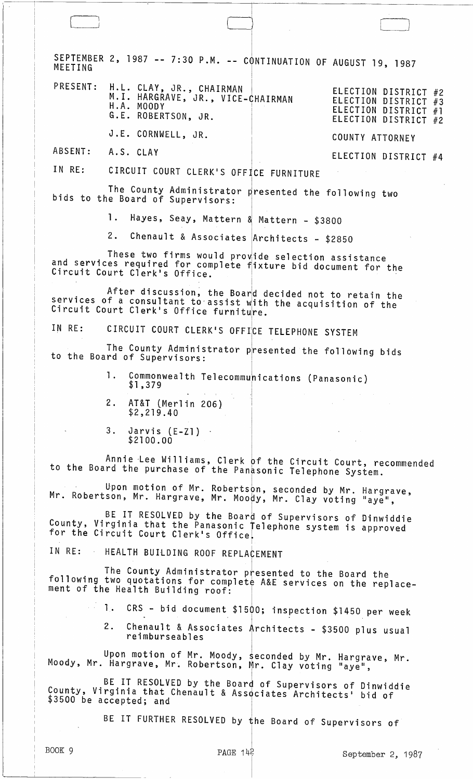SEPTEMBER 2, 1987 -- 7:30 P.M. -- CONTINUATION OF AUGUST 19, 1987 MEETING H.L. CLAY, JR., CHAIRMAN<br>M.I. HARGRAVE, JR., VICE-CHAIRMAN PRESENT: ELECTION DISTRICT #2 ELECTION DISTRICT #3 H.A. MOODY ELECTION DISTRICT #1 G.E. ROBERTSON, JR. ELECTION DISTRICT #2

J.E. CORNWELL, JR.

ABSENT: A.S. CLAY ELECTION DISTRICT #4

COUNTY ATTORNEY

IN RE: CIRCUIT COURT CLERK'S OFFICE FURNITURE

The County Administrator presented the following two<br>bids to the Board of Supervisors:

Hayes, Seay, Mattern & Mattern - \$3800 1.

Chenault & Associates Architects - \$2850  $2<sup>2</sup>$ 

These two firms would provide selection assistance<br>and services required for complete fixture bid document for the<br>Circuit Court Clerk's Office.

After discussion, the Board decided not to retain the services of a consultant to assist with the acquisition of the Circuit Court Clerk's Office furniture.

IN RE: CIRCUIT COURT CLERK'S OFFICE TELEPHONE SYSTEM

The County Administrator presented the following bids to the Board of Supervisors:

- Commonwealth Telecommunications (Panasonic)  $\mathbf{1}$ .  $$1,379$
- $2$ . AT&T (Merlin 206)  $$2,219.40$
- $3.$ Jarvis  $(E-Z1)$  $$2100.00$

Annie Lee Williams, Clerk of the Circuit Court, recommended<br>to the Board the purchase of the Panasonic Telephone System.

Upon motion of Mr. Robertson, seconded by Mr. Hargrave,<br>Mr. Robertson, Mr. Hargrave, Mr. Moody, Mr. Clay voting "aye",

BE IT RESOLVED by the Board of Supervisors of Dinwiddie County, Virginia that the Panasonic Telephone system is approved<br>for the Circuit Court Clerk's Office.

HEALTH BUILDING ROOF REPLACEMENT IN RF:

The County Administrator presented to the Board the<br>following two quotations for complete A&E services on the replacement of the Health Building roof:

 $\frac{1}{2}$  1. CRS - bid document \$1500; inspection \$1450 per week

 $2.$ Chenault & Associates Architects - \$3500 plus usual reimburseables

Upon motion of Mr. Moody, seconded by Mr. Hargrave, Mr.<br>Moody, Mr. Hargrave, Mr. Robertson, Mr. Clay voting "aye",

BE IT RESOLVED by the Board of Supervisors of Dinwiddie County, Virginia that Chenault & Associates Architects' bid of \$3500 be accepted; and

BE IT FURTHER RESOLVED by the Board of Supervisors of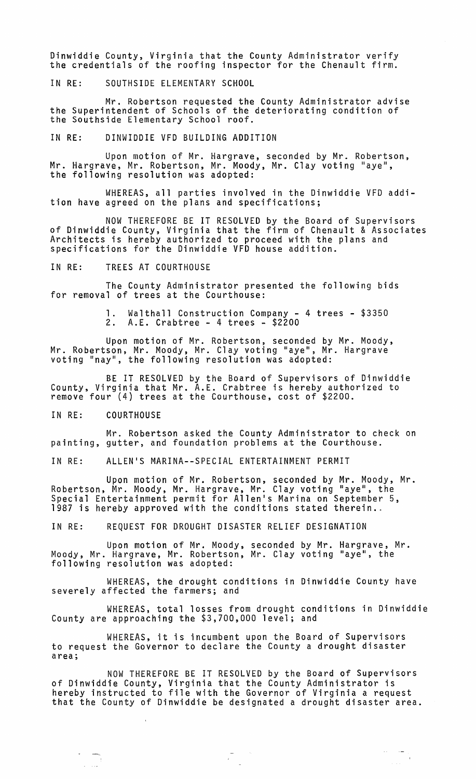Dinwiddie County, Virginia that the County Administrator verify the credentials of the roofing inspector for the Chenault firm.

IN RE: SOUTHSIDE ELEMENTARY SCHOOL

Mr. Robertson requested the County Administrator advise the Superintendent of Schools of the deteriorating condition of the Southside Elementary School roof.

IN RE: DINWIDDIE VFD BUILDING ADDITION

Upon motion of Mr. Hargrave, seconded by Mr. Robertson, Mr. Hargrave, Mr. Robertson, Mr. Moody, Mr. Clay voting "aye", the following resolution was adopted:

WHEREAS, all parties involved in the Dinwiddie VFD addition have agreed on the plans and specifications;

NOW THEREFORE BE IT RESOLVED by the Board of Supervisors of Dinwiddie County, Virginia that the firm of Chenault & Associates Architects is hereby authorized to proceed with the plans and specifications for the Dinwiddie VFD house addition.

IN RE: TREES AT COURTHOUSE

The County Administrator presented the following bids for removal of trees at the Courthouse:

> 1. Walthall Construction Company - 4 trees - \$3350<br>2. A.E. Crabtree - 4 trees - \$2200  $A.E.$  Crabtree - 4 trees - \$2200

Upon motion of Mr. Robertson, seconded by Mr. Moody, Mr. Robertson, Mr. Moody, Mr. Clay voting "aye", Mr. Hargrave voting "nay", the following resolution was adopted:

BE IT RESOLVED by the Board of Supervisors of Dinwiddie County, Virginia that Mr. A.E. Crabtree is hereby authorized to remove four (4) trees at the Courthouse, cost of \$2200.

IN RE: COURTHOUSE

Mr. Robertson asked the County Administrator to check on painting, gutter, and foundation problems at the Courthouse.

IN RE: ALLEN'S MARINA--SPECIAL ENTERTAINMENT PERMIT

Upon motion of Mr. Robertson, seconded by Mr. Moody, Mr. Robertson, Mr. Moody, Mr. Hargrave, Mr. Clay voting "aye", the Special Entertainment permit for Allen's Marina on September 5, is the conditions of the conditions stated therein.

IN RE: REQUEST FOR DROUGHT DISASTER RELIEF DESIGNATION

Upon motion of Mr. Moody, seconded by Mr. Hargrave, Mr. Moody, Mr. Hargrave, Mr. Robertson, Mr. Clay voting "aye", the following resolution was adopted:

WHEREAS, the drought conditions in Dinwiddie County have severely affected the farmers; and

WHEREAS, total losses from drought conditions in Dinwiddie County are approaching the \$3,700,000 level; and

WHEREAS, it is incumbent upon the Board of Supervisors to request the Governor to declare the County a drought disaster area;

NOW THEREFORE BE IT RESOLVED by the Board of Supervisors of Dinwiddie County, Virginia that the County Administrator is of binnicate councy, iffyinia chac one councy haminicates: is<br>hereby instructed to file with the Governor of Virginia a request<br>that the County of Dinwiddie be designated a drought disaster area.

 $\label{eq:2.1} \begin{array}{cc} \frac{1}{\sqrt{2}} & \frac{1}{\sqrt{2}} \\ \frac{1}{\sqrt{2}} & \frac{1}{\sqrt{2}} \end{array}$ 

 $\label{eq:1} \begin{split} \phi_{\text{max}}(\cdot) &= \frac{1}{\sqrt{2\pi}} \, \frac{1}{\sqrt{2\pi}} \, . \end{split}$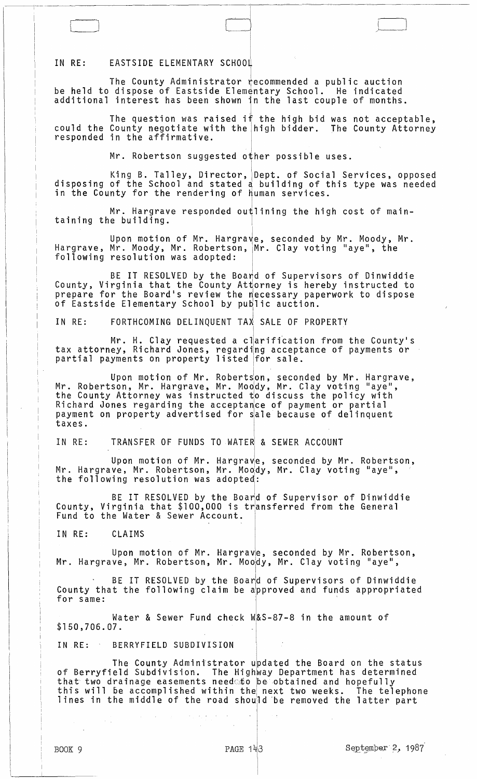## IN RE: EASTSIDE ELEMENTARY SCHOOL

The County Administrator  $\psi$  ecommended a public auction be held to dispose of Eastside Elementary School. He indicated additional interest has been shown in the last couple of months.

The question was raised if the high bid was not acceptable, could the County negotiate with the high bidder. The County Attorney

[~\_J d /,l \_\_ ~J

Mr. Robertson suggested other possible uses.

King B. Talley, Director, IDept. of Social Services, opposed disposing of the School and stated q building of this type was needed in the County for the rendering of Human services.

Mr. Hargrave responded outlining the high cost of maintaining the building.

Upon motion of Mr. Hargrave, seconded by Mr. Moody, Mr. Hargrave, Mr. Moody, Mr. Robertson, Mr. Clay voting "aye", the following resolution was adopted:

BE IT RESOLVED by the Boa $\dagger$ d of Supervisors of Dinwiddie County, Virginia that the County Attorney is hereby instructed to prepare for the Board's review the necessary paperwork to dispose of Eastside Elementary School by  $pub$ lic auction.

IN RE: FORTHCOMING DELINQUENT TAX SALE OF PROPERTY

Mr. H. Clay requested a clarification from the County's tax attorney, Richard Jones, regarding acceptance of payments or partial payments on property listed for sale.

Upon motion of Mr. RobertJon, seconded by Mr. Hargrave, Mr. Robertson, Mr. Hargrave, Mr. Moddy, Mr. Clay voting "aye", the County Attorney was instructed  $t_0$  discuss the policy with Richard Jones regarding the acceptance of payment or partial payment on property advertised for sale because of delinquent taxes.

IN RE: TRANSFER OF FUNDS TO WATER & SEWER ACCOUNT

Upon motion of Mr. Hargrave, seconded by Mr. Robertson, Mr. Hargrave, Mr. Robertson, Mr. Moody, Mr. Clay voting "aye",<br>the following resolution was adopted:

BE IT RESOLVED by the Board of Supervisor of Dinwiddie County, Virginia that \$100,000 is transferred from the General Fund to the Water & Sewer Account.

IN RE: CLAIMS

Upon motion of Mr. Hargrave, seconded by Mr. Robertson, Mr. Hargrave, Mr. Robertson, Mr. MOOidy, Mr. Clay voting "aye",

BE IT RESOLVED by the Board of Supervisors of Dinwiddie County that the following claim be approved and funds appropriated for same:

Water & Sewer Fund check W&S-87-8 in the amount of  $$150,706.07$ .

IN RE: BERRYFIELD SUBDIVISION

The County Administrator updated the Board on the status of Berryfield Subdivision. The Highway Department has determined that two drainage easements need to be obtained and hopefully<br>this will be accomplished within the next two weeks. The telephone this will be accomplished within the next two weeks. The telephone<br>lines in the middle of the road should be removed the latter part

 $\mathbf{I}$ 

 $\parallel$